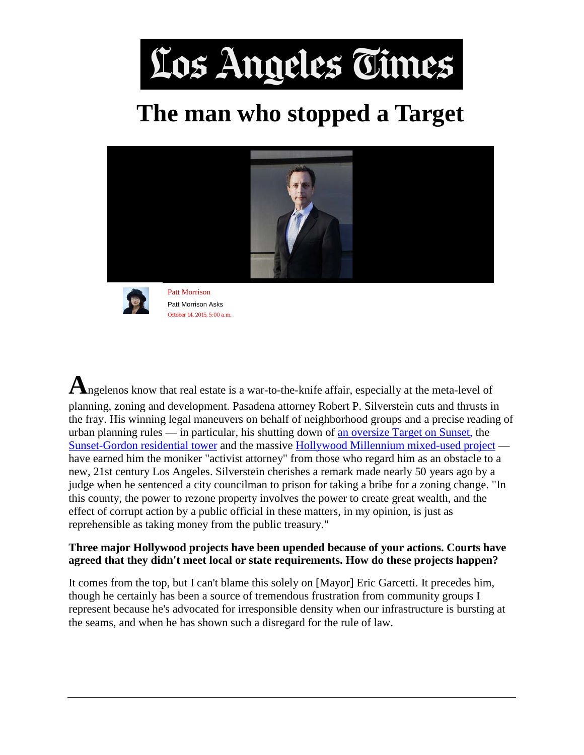

# **The man who stopped a Target**





Patt Morrison Patt Morrison Asks *October 14, 2015, 5:00 a.m.*

Angelenos know that real estate is a war-to-the-knife affair, especially at the meta-level of planning, zoning and development. Pasadena attorney Robert P. Silverstein cuts and thrusts in the fray. His winning legal maneuvers on behalf of neighborhood groups and a precise reading of urban planning rules — in particular, his shutting down of [an oversize Target on Sunset,](http://www.latimes.com/local/cityhall/la-me-hollywood-target-20140821-story.html) the [Sunset-Gordon residential tower](http://www.latimes.com/local/cityhall/la-me-hollywood-apartment-lawsuit-20150914-story.html) and the massive [Hollywood Millennium mixed-used project](http://www.latimes.com/business/realestate/commercial/la-me-ln-millennium-opponents-question-l-a-s-approval-of-quake-study-20150707-story.html) have earned him the moniker "activist attorney" from those who regard him as an obstacle to a new, 21st century Los Angeles. Silverstein cherishes a remark made nearly 50 years ago by a judge when he sentenced a city councilman to prison for taking a bribe for a zoning change. "In this county, the power to rezone property involves the power to create great wealth, and the effect of corrupt action by a public official in these matters, in my opinion, is just as reprehensible as taking money from the public treasury."

# **Three major Hollywood projects have been upended because of your actions. Courts have agreed that they didn't meet local or state requirements. How do these projects happen?**

It comes from the top, but I can't blame this solely on [Mayor] Eric Garcetti. It precedes him, though he certainly has been a source of tremendous frustration from community groups I represent because he's advocated for irresponsible density when our infrastructure is bursting at the seams, and when he has shown such a disregard for the rule of law.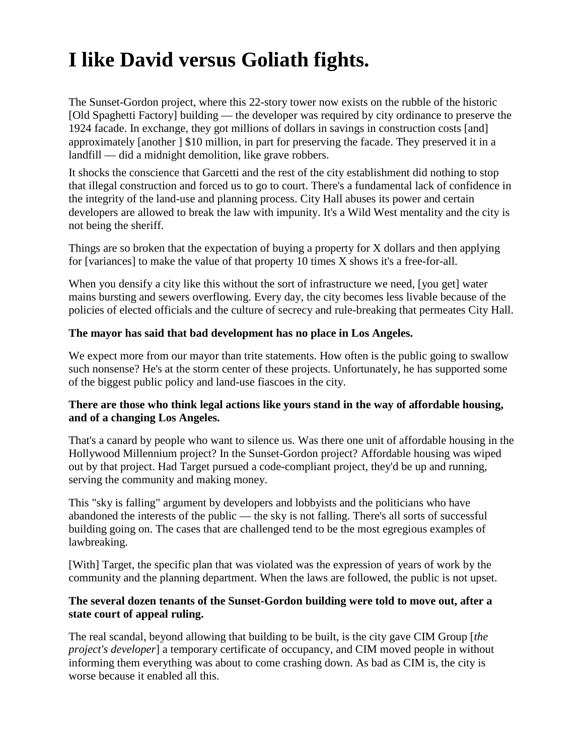# **I like David versus Goliath fights.**

The Sunset-Gordon project, where this 22-story tower now exists on the rubble of the historic [Old Spaghetti Factory] building — the developer was required by city ordinance to preserve the 1924 facade. In exchange, they got millions of dollars in savings in construction costs [and] approximately [another ] \$10 million, in part for preserving the facade. They preserved it in a landfill — did a midnight demolition, like grave robbers.

It shocks the conscience that Garcetti and the rest of the city establishment did nothing to stop that illegal construction and forced us to go to court. There's a fundamental lack of confidence in the integrity of the land-use and planning process. City Hall abuses its power and certain developers are allowed to break the law with impunity. It's a Wild West mentality and the city is not being the sheriff.

Things are so broken that the expectation of buying a property for X dollars and then applying for [variances] to make the value of that property 10 times X shows it's a free-for-all.

When you densify a city like this without the sort of infrastructure we need, [you get] water mains bursting and sewers overflowing. Every day, the city becomes less livable because of the policies of elected officials and the culture of secrecy and rule-breaking that permeates City Hall.

# **The mayor has said that bad development has no place in Los Angeles.**

We expect more from our mayor than trite statements. How often is the public going to swallow such nonsense? He's at the storm center of these projects. Unfortunately, he has supported some of the biggest public policy and land-use fiascoes in the city.

#### **There are those who think legal actions like yours stand in the way of affordable housing, and of a changing Los Angeles.**

That's a canard by people who want to silence us. Was there one unit of affordable housing in the Hollywood Millennium project? In the Sunset-Gordon project? Affordable housing was wiped out by that project. Had Target pursued a code-compliant project, they'd be up and running, serving the community and making money.

This "sky is falling" argument by developers and lobbyists and the politicians who have abandoned the interests of the public — the sky is not falling. There's all sorts of successful building going on. The cases that are challenged tend to be the most egregious examples of lawbreaking.

[With] Target, the specific plan that was violated was the expression of years of work by the community and the planning department. When the laws are followed, the public is not upset.

#### **The several dozen tenants of the Sunset-Gordon building were told to move out, after a state court of appeal ruling.**

The real scandal, beyond allowing that building to be built, is the city gave CIM Group [*the project's developer*] a temporary certificate of occupancy, and CIM moved people in without informing them everything was about to come crashing down. As bad as CIM is, the city is worse because it enabled all this.